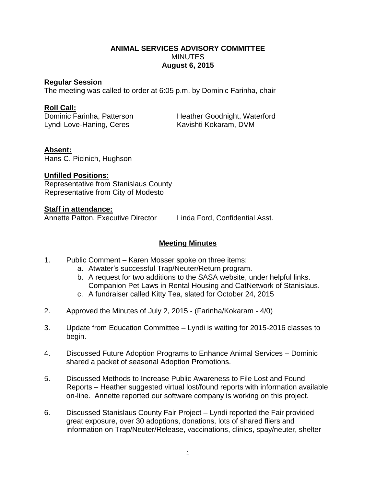## **ANIMAL SERVICES ADVISORY COMMITTEE MINUTES August 6, 2015**

### **Regular Session**

The meeting was called to order at 6:05 p.m. by Dominic Farinha, chair

### **Roll Call:**

Lyndi Love-Haning, Ceres Kavishti Kokaram, DVM

Dominic Farinha, Patterson Heather Goodnight, Waterford

## **Absent:**

Hans C. Picinich, Hughson

# **Unfilled Positions:**

Representative from Stanislaus County Representative from City of Modesto

### **Staff in attendance:**

Annette Patton, Executive Director Linda Ford, Confidential Asst.

## **Meeting Minutes**

- 1. Public Comment Karen Mosser spoke on three items:
	- a. Atwater's successful Trap/Neuter/Return program.
	- b. A request for two additions to the SASA website, under helpful links. Companion Pet Laws in Rental Housing and CatNetwork of Stanislaus.
	- c. A fundraiser called Kitty Tea, slated for October 24, 2015
- 2. Approved the Minutes of July 2, 2015 (Farinha/Kokaram 4/0)
- 3. Update from Education Committee Lyndi is waiting for 2015-2016 classes to begin.
- 4. Discussed Future Adoption Programs to Enhance Animal Services Dominic shared a packet of seasonal Adoption Promotions.
- 5. Discussed Methods to Increase Public Awareness to File Lost and Found Reports – Heather suggested virtual lost/found reports with information available on-line. Annette reported our software company is working on this project.
- 6. Discussed Stanislaus County Fair Project Lyndi reported the Fair provided great exposure, over 30 adoptions, donations, lots of shared fliers and information on Trap/Neuter/Release, vaccinations, clinics, spay/neuter, shelter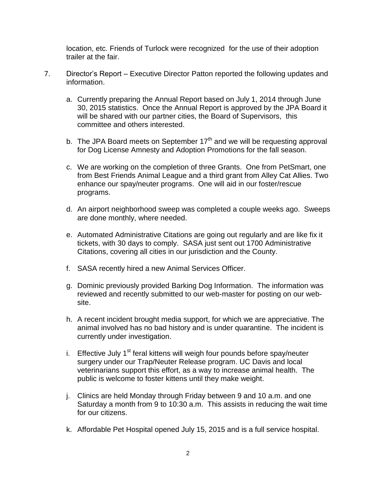location, etc. Friends of Turlock were recognized for the use of their adoption trailer at the fair.

- 7. Director's Report Executive Director Patton reported the following updates and information.
	- a. Currently preparing the Annual Report based on July 1, 2014 through June 30, 2015 statistics. Once the Annual Report is approved by the JPA Board it will be shared with our partner cities, the Board of Supervisors, this committee and others interested.
	- b. The JPA Board meets on September  $17<sup>th</sup>$  and we will be requesting approval for Dog License Amnesty and Adoption Promotions for the fall season.
	- c. We are working on the completion of three Grants. One from PetSmart, one from Best Friends Animal League and a third grant from Alley Cat Allies. Two enhance our spay/neuter programs. One will aid in our foster/rescue programs.
	- d. An airport neighborhood sweep was completed a couple weeks ago. Sweeps are done monthly, where needed.
	- e. Automated Administrative Citations are going out regularly and are like fix it tickets, with 30 days to comply. SASA just sent out 1700 Administrative Citations, covering all cities in our jurisdiction and the County.
	- f. SASA recently hired a new Animal Services Officer.
	- g. Dominic previously provided Barking Dog Information. The information was reviewed and recently submitted to our web-master for posting on our website.
	- h. A recent incident brought media support, for which we are appreciative. The animal involved has no bad history and is under quarantine. The incident is currently under investigation.
	- i. Effective July  $1<sup>st</sup>$  feral kittens will weigh four pounds before spay/neuter surgery under our Trap/Neuter Release program. UC Davis and local veterinarians support this effort, as a way to increase animal health. The public is welcome to foster kittens until they make weight.
	- j. Clinics are held Monday through Friday between 9 and 10 a.m. and one Saturday a month from 9 to 10:30 a.m. This assists in reducing the wait time for our citizens.
	- k. Affordable Pet Hospital opened July 15, 2015 and is a full service hospital.